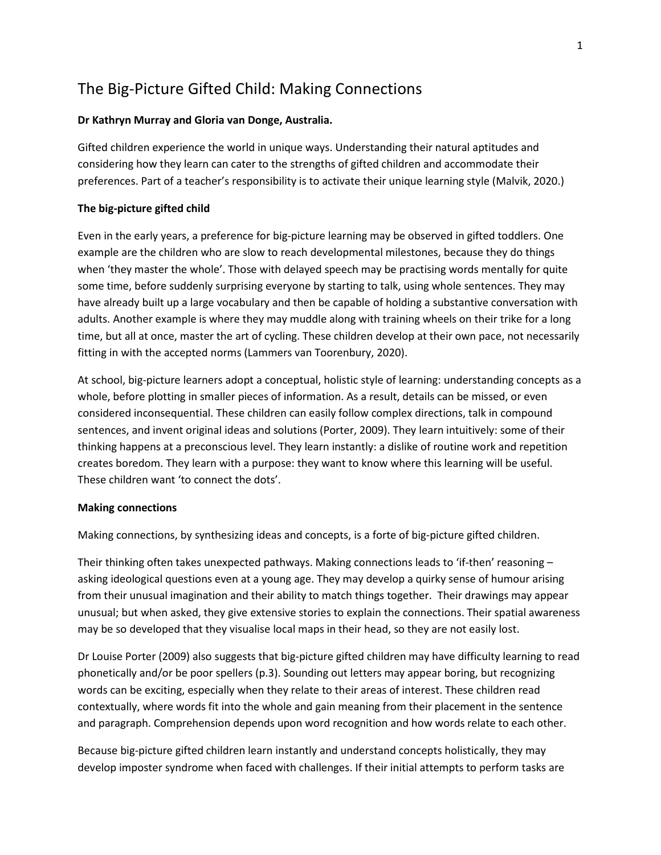# The Big-Picture Gifted Child: Making Connections

#### **Dr Kathryn Murray and Gloria van Donge, Australia.**

Gifted children experience the world in unique ways. Understanding their natural aptitudes and considering how they learn can cater to the strengths of gifted children and accommodate their preferences. Part of a teacher's responsibility is to activate their unique learning style (Malvik, 2020.)

### **The big-picture gifted child**

Even in the early years, a preference for big-picture learning may be observed in gifted toddlers. One example are the children who are slow to reach developmental milestones, because they do things when 'they master the whole'. Those with delayed speech may be practising words mentally for quite some time, before suddenly surprising everyone by starting to talk, using whole sentences. They may have already built up a large vocabulary and then be capable of holding a substantive conversation with adults. Another example is where they may muddle along with training wheels on their trike for a long time, but all at once, master the art of cycling. These children develop at their own pace, not necessarily fitting in with the accepted norms (Lammers van Toorenbury, 2020).

At school, big-picture learners adopt a conceptual, holistic style of learning: understanding concepts as a whole, before plotting in smaller pieces of information. As a result, details can be missed, or even considered inconsequential. These children can easily follow complex directions, talk in compound sentences, and invent original ideas and solutions (Porter, 2009). They learn intuitively: some of their thinking happens at a preconscious level. They learn instantly: a dislike of routine work and repetition creates boredom. They learn with a purpose: they want to know where this learning will be useful. These children want 'to connect the dots'.

#### **Making connections**

Making connections, by synthesizing ideas and concepts, is a forte of big-picture gifted children.

Their thinking often takes unexpected pathways. Making connections leads to 'if-then' reasoning – asking ideological questions even at a young age. They may develop a quirky sense of humour arising from their unusual imagination and their ability to match things together. Their drawings may appear unusual; but when asked, they give extensive stories to explain the connections. Their spatial awareness may be so developed that they visualise local maps in their head, so they are not easily lost.

Dr Louise Porter (2009) also suggests that big-picture gifted children may have difficulty learning to read phonetically and/or be poor spellers (p.3). Sounding out letters may appear boring, but recognizing words can be exciting, especially when they relate to their areas of interest. These children read contextually, where words fit into the whole and gain meaning from their placement in the sentence and paragraph. Comprehension depends upon word recognition and how words relate to each other.

Because big-picture gifted children learn instantly and understand concepts holistically, they may develop imposter syndrome when faced with challenges. If their initial attempts to perform tasks are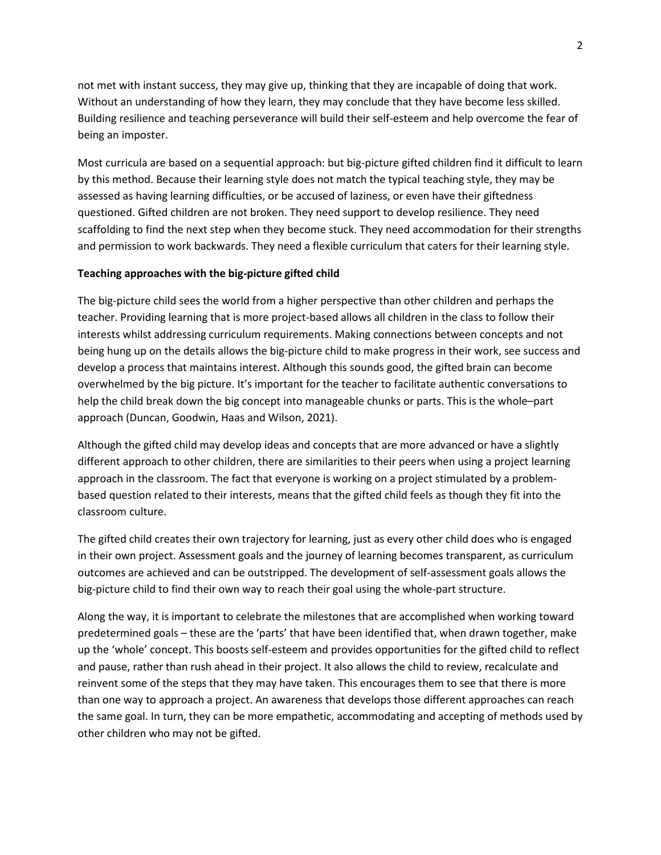not met with instant success, they may give up, thinking that they are incapable of doing that work. Without an understanding of how they learn, they may conclude that they have become less skilled. Building resilience and teaching perseverance will build their self-esteem and help overcome the fear of being an imposter.

Most curricula are based on a sequential approach: but big-picture gifted children find it difficult to learn by this method. Because their learning style does not match the typical teaching style, they may be assessed as having learning difficulties, or be accused of laziness, or even have their giftedness questioned. Gifted children are not broken. They need support to develop resilience. They need scaffolding to find the next step when they become stuck. They need accommodation for their strengths and permission to work backwards. They need a flexible curriculum that caters for their learning style.

#### **Teaching approaches with the big-picture gifted child**

The big-picture child sees the world from a higher perspective than other children and perhaps the teacher. Providing learning that is more project-based allows all children in the class to follow their interests whilst addressing curriculum requirements. Making connections between concepts and not being hung up on the details allows the big-picture child to make progress in their work, see success and develop a process that maintains interest. Although this sounds good, the gifted brain can become overwhelmed by the big picture. It's important for the teacher to facilitate authentic conversations to help the child break down the big concept into manageable chunks or parts. This is the whole–part approach (Duncan, Goodwin, Haas and Wilson, 2021).

Although the gifted child may develop ideas and concepts that are more advanced or have a slightly different approach to other children, there are similarities to their peers when using a project learning approach in the classroom. The fact that everyone is working on a project stimulated by a problembased question related to their interests, means that the gifted child feels as though they fit into the classroom culture.

The gifted child creates their own trajectory for learning, just as every other child does who is engaged in their own project. Assessment goals and the journey of learning becomes transparent, as curriculum outcomes are achieved and can be outstripped. The development of self-assessment goals allows the big-picture child to find their own way to reach their goal using the whole-part structure.

Along the way, it is important to celebrate the milestones that are accomplished when working toward predetermined goals – these are the 'parts' that have been identified that, when drawn together, make up the 'whole' concept. This boosts self-esteem and provides opportunities for the gifted child to reflect and pause, rather than rush ahead in their project. It also allows the child to review, recalculate and reinvent some of the steps that they may have taken. This encourages them to see that there is more than one way to approach a project. An awareness that develops those different approaches can reach the same goal. In turn, they can be more empathetic, accommodating and accepting of methods used by other children who may not be gifted.